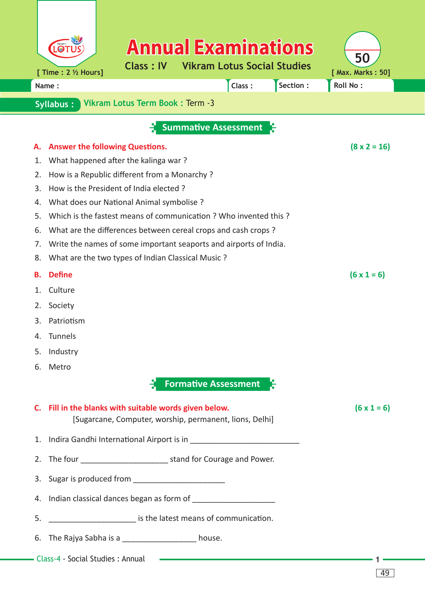